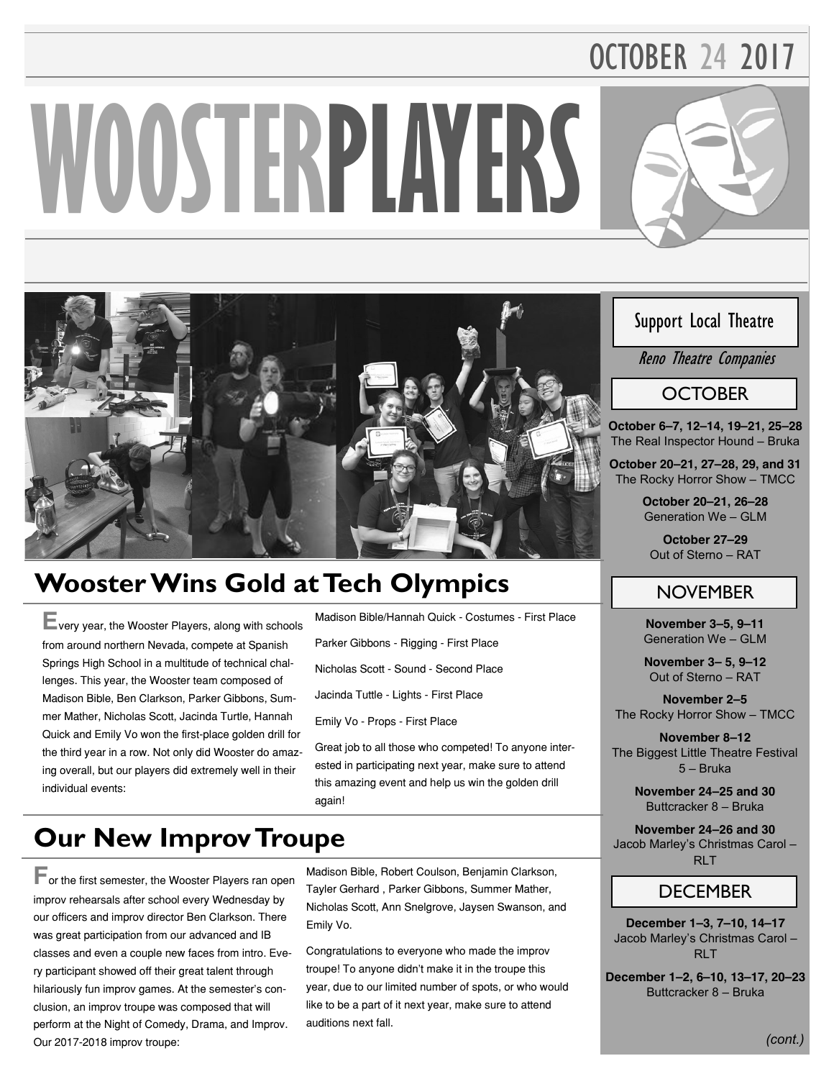# OCTOBER 24 2017

# **WOOSTERPLAYERS**



# **Wooster Wins Gold at Tech Olympics**

**E**very year, the Wooster Players, along with schools from around northern Nevada, compete at Spanish Springs High School in a multitude of technical challenges. This year, the Wooster team composed of Madison Bible, Ben Clarkson, Parker Gibbons, Summer Mather, Nicholas Scott, Jacinda Turtle, Hannah Quick and Emily Vo won the first-place golden drill for the third year in a row. Not only did Wooster do amazing overall, but our players did extremely well in their individual events:

Madison Bible/Hannah Quick - Costumes - First Place

Parker Gibbons - Rigging - First Place

Nicholas Scott - Sound - Second Place

Jacinda Tuttle - Lights - First Place

Emily Vo - Props - First Place

Great job to all those who competed! To anyone interested in participating next year, make sure to attend this amazing event and help us win the golden drill again!

## **Our New Improv Troupe**

**F**or the first semester, the Wooster Players ran open improv rehearsals after school every Wednesday by our officers and improv director Ben Clarkson. There was great participation from our advanced and IB classes and even a couple new faces from intro. Every participant showed off their great talent through hilariously fun improv games. At the semester's conclusion, an improv troupe was composed that will perform at the Night of Comedy, Drama, and Improv. Our 2017-2018 improv troupe:

Madison Bible, Robert Coulson, Benjamin Clarkson, Tayler Gerhard , Parker Gibbons, Summer Mather, Nicholas Scott, Ann Snelgrove, Jaysen Swanson, and Emily Vo.

Congratulations to everyone who made the improv troupe! To anyone didn't make it in the troupe this year, due to our limited number of spots, or who would like to be a part of it next year, make sure to attend auditions next fall.

#### Support Local Theatre

Reno Theatre Companies

#### **OCTOBER**

**October 6–7, 12–14, 19–21, 25–28 The Real Inspector Hound – Bruka** 

**October 20–21, 27–28, 29, and 31 The Rocky Horror Show – TMCC** 

> **October 20–21, 26–28 Generation We – GLM**

**October 27–29 Out of Sterno – RAT** 

#### **NOVEMBER**

**November 3–5, 9–11 Generation We – GLM** 

**November 3– 5, 9–12 Out of Sterno – RAT** 

**November 2–5 The Rocky Horror Show – TMCC** 

**November 8–12 The Biggest Little Theatre Festival 5 – Bruka** 

> **November 24–25 and 30 Buttcracker 8 – Bruka**

**November 24–26 and 30 Jacob Marley's Christmas Carol – RLT** 

#### **DECEMBER**

**December 1–3, 7–10, 14–17 Jacob Marley's Christmas Carol – RLT** 

**December 1–2, 6–10, 13–17, 20–23 Buttcracker 8 – Bruka** 

*(cont.)*